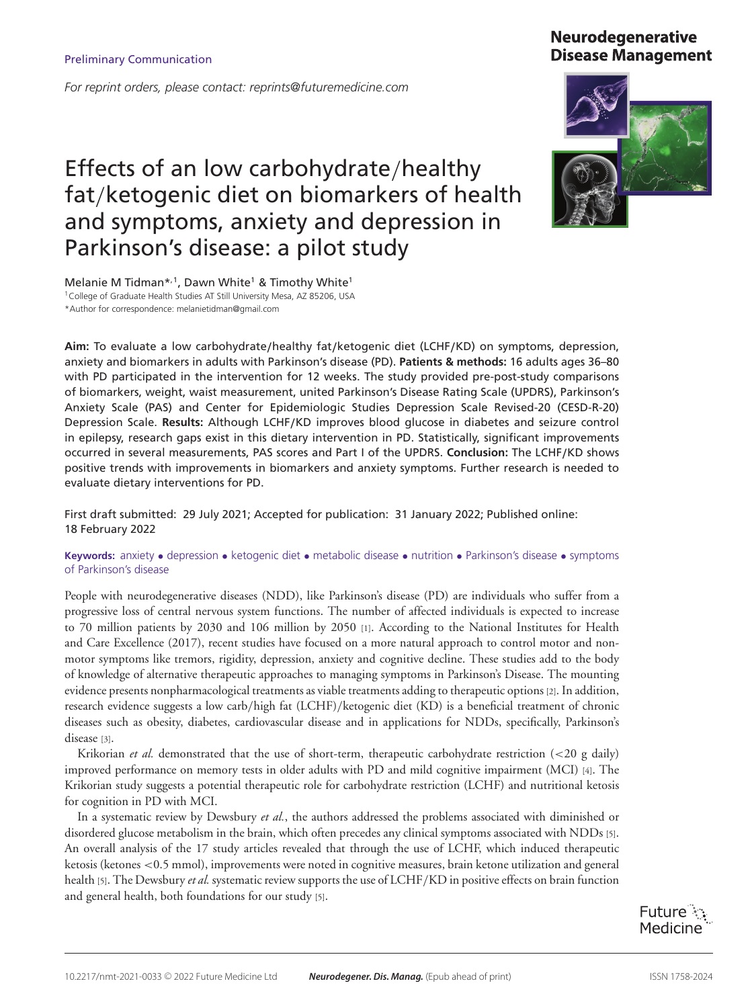*For reprint orders, please contact: reprints@futuremedicine.com*

# Effects of an low carbohydrate/healthy fat/ketogenic diet on biomarkers of health and symptoms, anxiety and depression in Parkinson's disease: a pilot study

Melanie M Tidman\*,1, Dawn White<sup>1</sup> & Timothy White<sup>1</sup> <sup>1</sup> College of Graduate Health Studies AT Still University Mesa, AZ 85206, USA \*Author for correspondence: melanietidman@gmail.com

**Aim:** To evaluate a low carbohydrate**/**healthy fat**/**ketogenic diet (LCHF**/**KD) on symptoms, depression, anxiety and biomarkers in adults with Parkinson's disease (PD). **Patients & methods:** 16 adults ages 36–80 with PD participated in the intervention for 12 weeks. The study provided pre-post-study comparisons of biomarkers, weight, waist measurement, united Parkinson's Disease Rating Scale (UPDRS), Parkinson's Anxiety Scale (PAS) and Center for Epidemiologic Studies Depression Scale Revised-20 (CESD-R-20) Depression Scale. **Results:** Although LCHF**/**KD improves blood glucose in diabetes and seizure control in epilepsy, research gaps exist in this dietary intervention in PD. Statistically, significant improvements occurred in several measurements, PAS scores and Part I of the UPDRS. **Conclusion:** The LCHF**/**KD shows positive trends with improvements in biomarkers and anxiety symptoms. Further research is needed to evaluate dietary interventions for PD.

First draft submitted: 29 July 2021; Accepted for publication: 31 January 2022; Published online: 18 February 2022

**Keywords:** anxiety • depression • ketogenic diet • metabolic disease • nutrition • Parkinson's disease • symptoms of Parkinson's disease

People with neurodegenerative diseases (NDD), like Parkinson's disease (PD) are individuals who suffer from a progressive loss of central nervous system functions. The number of affected individuals is expected to increase to 70 million patients by 2030 and 106 million by 2050 [1]. According to the National Institutes for Health and Care Excellence (2017), recent studies have focused on a more natural approach to control motor and nonmotor symptoms like tremors, rigidity, depression, anxiety and cognitive decline. These studies add to the body of knowledge of alternative therapeutic approaches to managing symptoms in Parkinson's Disease. The mounting evidence presents nonpharmacological treatments as viable treatments adding to therapeutic options [2]. In addition, research evidence suggests a low carb/high fat (LCHF)/ketogenic diet (KD) is a beneficial treatment of chronic diseases such as obesity, diabetes, cardiovascular disease and in applications for NDDs, specifically, Parkinson's disease [3].

Krikorian *et al.* demonstrated that the use of short-term, therapeutic carbohydrate restriction (<20 g daily) improved performance on memory tests in older adults with PD and mild cognitive impairment (MCI) [4]. The Krikorian study suggests a potential therapeutic role for carbohydrate restriction (LCHF) and nutritional ketosis for cognition in PD with MCI.

In a systematic review by Dewsbury *et al.*, the authors addressed the problems associated with diminished or disordered glucose metabolism in the brain, which often precedes any clinical symptoms associated with NDDs [5]. An overall analysis of the 17 study articles revealed that through the use of LCHF, which induced therapeutic ketosis (ketones <0.5 mmol), improvements were noted in cognitive measures, brain ketone utilization and general health [5]. The Dewsbury *et al.* systematic review supports the use of LCHF/KD in positive effects on brain function and general health, both foundations for our study [5].

10.2217/nmt-2021-0033 © 2022 Future Medicine Ltd **Neurodegener. Dis. Manag.** (Epub ahead of print) ISSN 1758-2024

Future : Medicine

# **Neurodegenerative Disease Management**

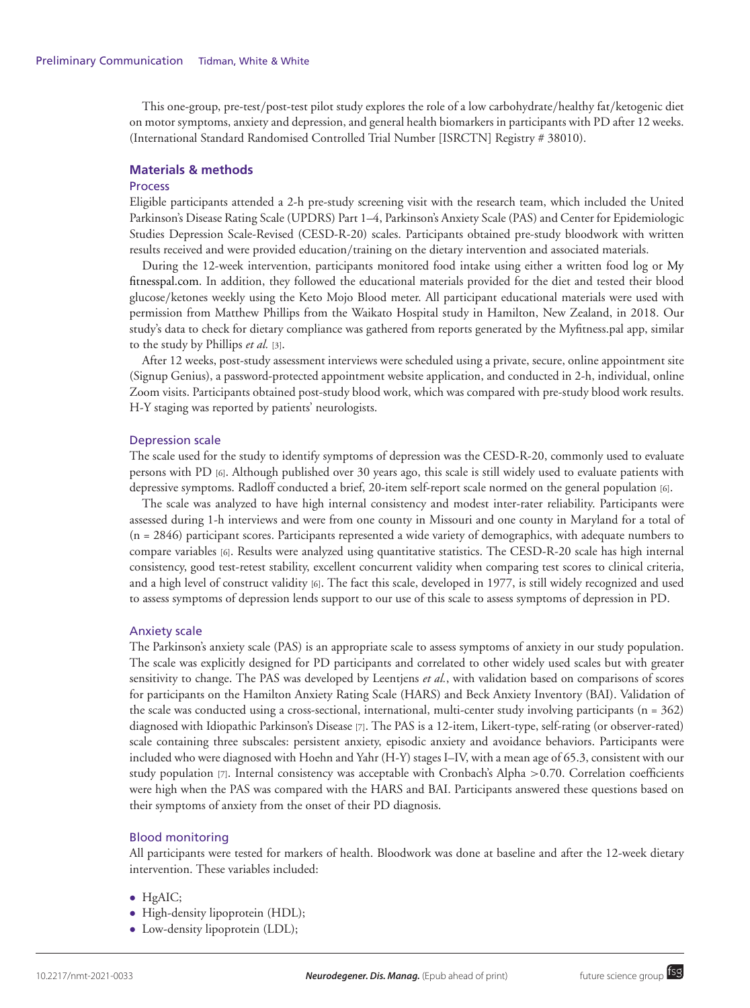This one-group, pre-test/post-test pilot study explores the role of a low carbohydrate/healthy fat/ketogenic diet on motor symptoms, anxiety and depression, and general health biomarkers in participants with PD after 12 weeks. (International Standard Randomised Controlled Trial Number [ISRCTN] Registry # 38010).

#### **Materials & methods**

#### **Process**

Eligible participants attended a 2-h pre-study screening visit with the research team, which included the United Parkinson's Disease Rating Scale (UPDRS) Part 1–4, Parkinson's Anxiety Scale (PAS) and Center for Epidemiologic Studies Depression Scale-Revised (CESD-R-20) scales. Participants obtained pre-study bloodwork with written results received and were provided education/training on the dietary intervention and associated materials.

During the 12-week intervention, participants monitored food intake using either a written food log or My [fitnesspal.com. In addition, they followed the educational materials provided for the diet and tested their blood](http://Myfitnesspal.com) glucose/ketones weekly using the Keto Mojo Blood meter. All participant educational materials were used with permission from Matthew Phillips from the Waikato Hospital study in Hamilton, New Zealand, in 2018. Our study's data to check for dietary compliance was gathered from reports generated by the Myfitness.pal app, similar to the study by Phillips *et al.* [3].

After 12 weeks, post-study assessment interviews were scheduled using a private, secure, online appointment site (Signup Genius), a password-protected appointment website application, and conducted in 2-h, individual, online Zoom visits. Participants obtained post-study blood work, which was compared with pre-study blood work results. H-Y staging was reported by patients' neurologists.

#### Depression scale

The scale used for the study to identify symptoms of depression was the CESD-R-20, commonly used to evaluate persons with PD [6]. Although published over 30 years ago, this scale is still widely used to evaluate patients with depressive symptoms. Radloff conducted a brief, 20-item self-report scale normed on the general population [6].

The scale was analyzed to have high internal consistency and modest inter-rater reliability. Participants were assessed during 1-h interviews and were from one county in Missouri and one county in Maryland for a total of (n = 2846) participant scores. Participants represented a wide variety of demographics, with adequate numbers to compare variables [6]. Results were analyzed using quantitative statistics. The CESD-R-20 scale has high internal consistency, good test-retest stability, excellent concurrent validity when comparing test scores to clinical criteria, and a high level of construct validity [6]. The fact this scale, developed in 1977, is still widely recognized and used to assess symptoms of depression lends support to our use of this scale to assess symptoms of depression in PD.

#### Anxiety scale

The Parkinson's anxiety scale (PAS) is an appropriate scale to assess symptoms of anxiety in our study population. The scale was explicitly designed for PD participants and correlated to other widely used scales but with greater sensitivity to change. The PAS was developed by Leentjens *et al.*, with validation based on comparisons of scores for participants on the Hamilton Anxiety Rating Scale (HARS) and Beck Anxiety Inventory (BAI). Validation of the scale was conducted using a cross-sectional, international, multi-center study involving participants  $(n = 362)$ diagnosed with Idiopathic Parkinson's Disease [7]. The PAS is a 12-item, Likert-type, self-rating (or observer-rated) scale containing three subscales: persistent anxiety, episodic anxiety and avoidance behaviors. Participants were included who were diagnosed with Hoehn and Yahr (H-Y) stages I–IV, with a mean age of 65.3, consistent with our study population [7]. Internal consistency was acceptable with Cronbach's Alpha >0.70. Correlation coefficients were high when the PAS was compared with the HARS and BAI. Participants answered these questions based on their symptoms of anxiety from the onset of their PD diagnosis.

#### Blood monitoring

All participants were tested for markers of health. Bloodwork was done at baseline and after the 12-week dietary intervention. These variables included:

- HgAIC;
- High-density lipoprotein (HDL);
- Low-density lipoprotein (LDL);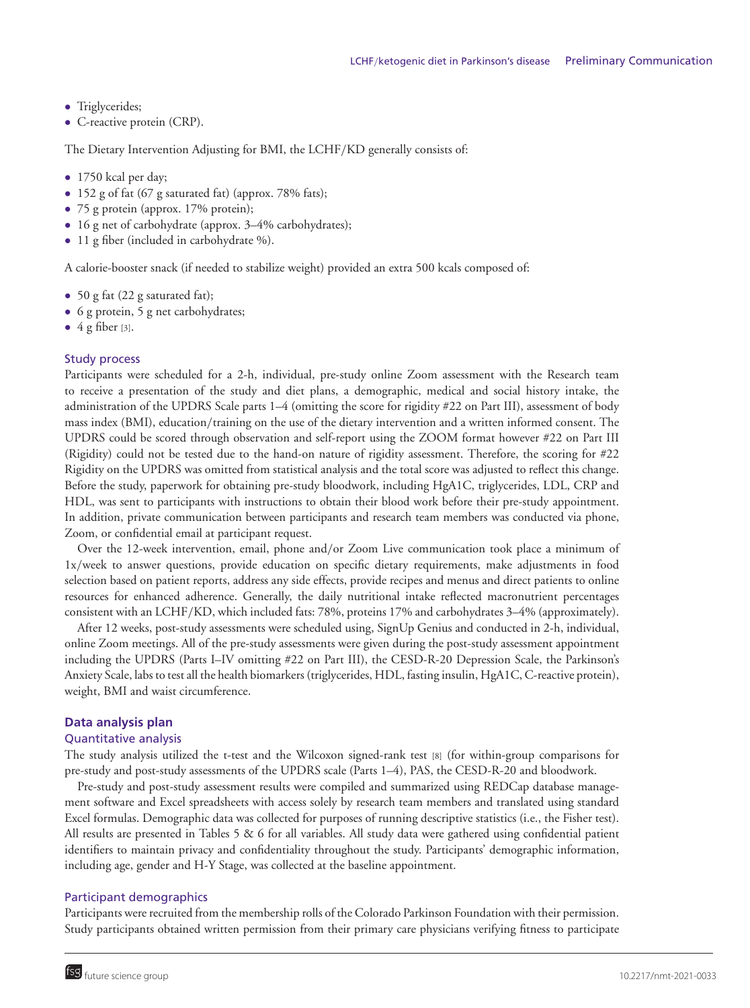- Triglycerides;
- C-reactive protein (CRP).

The Dietary Intervention Adjusting for BMI, the LCHF/KD generally consists of:

- 1750 kcal per day;
- 152 g of fat (67 g saturated fat) (approx. 78% fats);
- 75 g protein (approx. 17% protein);
- 16 g net of carbohydrate (approx. 3–4% carbohydrates);
- 11 g fiber (included in carbohydrate %).

A calorie-booster snack (if needed to stabilize weight) provided an extra 500 kcals composed of:

- 50 g fat (22 g saturated fat);
- 6 g protein, 5 g net carbohydrates;
- $\bullet$  4 g fiber [3].

#### Study process

Participants were scheduled for a 2-h, individual, pre-study online Zoom assessment with the Research team to receive a presentation of the study and diet plans, a demographic, medical and social history intake, the administration of the UPDRS Scale parts 1–4 (omitting the score for rigidity #22 on Part III), assessment of body mass index (BMI), education/training on the use of the dietary intervention and a written informed consent. The UPDRS could be scored through observation and self-report using the ZOOM format however #22 on Part III (Rigidity) could not be tested due to the hand-on nature of rigidity assessment. Therefore, the scoring for #22 Rigidity on the UPDRS was omitted from statistical analysis and the total score was adjusted to reflect this change. Before the study, paperwork for obtaining pre-study bloodwork, including HgA1C, triglycerides, LDL, CRP and HDL, was sent to participants with instructions to obtain their blood work before their pre-study appointment. In addition, private communication between participants and research team members was conducted via phone, Zoom, or confidential email at participant request.

Over the 12-week intervention, email, phone and/or Zoom Live communication took place a minimum of 1x/week to answer questions, provide education on specific dietary requirements, make adjustments in food selection based on patient reports, address any side effects, provide recipes and menus and direct patients to online resources for enhanced adherence. Generally, the daily nutritional intake reflected macronutrient percentages consistent with an LCHF/KD, which included fats: 78%, proteins 17% and carbohydrates 3–4% (approximately).

After 12 weeks, post-study assessments were scheduled using, SignUp Genius and conducted in 2-h, individual, online Zoom meetings. All of the pre-study assessments were given during the post-study assessment appointment including the UPDRS (Parts I–IV omitting #22 on Part III), the CESD-R-20 Depression Scale, the Parkinson's Anxiety Scale, labs to test all the health biomarkers (triglycerides, HDL, fasting insulin, HgA1C, C-reactive protein), weight, BMI and waist circumference.

#### **Data analysis plan**

#### Quantitative analysis

The study analysis utilized the t-test and the Wilcoxon signed-rank test [8] (for within-group comparisons for pre-study and post-study assessments of the UPDRS scale (Parts 1–4), PAS, the CESD-R-20 and bloodwork.

Pre-study and post-study assessment results were compiled and summarized using REDCap database management software and Excel spreadsheets with access solely by research team members and translated using standard Excel formulas. Demographic data was collected for purposes of running descriptive statistics (i.e., the Fisher test). All results are presented in Tables 5 & 6 for all variables. All study data were gathered using confidential patient identifiers to maintain privacy and confidentiality throughout the study. Participants' demographic information, including age, gender and H-Y Stage, was collected at the baseline appointment.

#### Participant demographics

Participants were recruited from the membership rolls of the Colorado Parkinson Foundation with their permission. Study participants obtained written permission from their primary care physicians verifying fitness to participate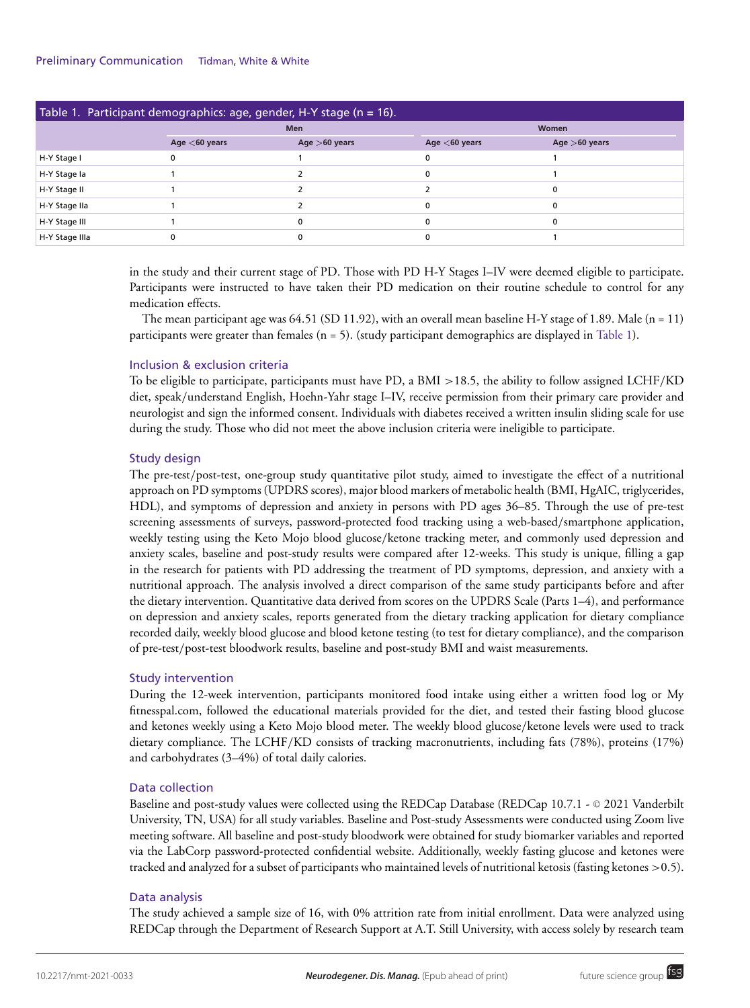| Table 1. Participant demographics: age, gender, H-Y stage (n = 16). |                  |                 |                  |                 |  |  |  |  |
|---------------------------------------------------------------------|------------------|-----------------|------------------|-----------------|--|--|--|--|
|                                                                     |                  | <b>Men</b>      | Women            |                 |  |  |  |  |
|                                                                     | Age $<$ 60 years | Age $>60$ years | Age $<$ 60 years | Age $>60$ years |  |  |  |  |
| H-Y Stage I                                                         |                  |                 |                  |                 |  |  |  |  |
| H-Y Stage la                                                        |                  |                 | O                |                 |  |  |  |  |
| H-Y Stage II                                                        |                  |                 |                  |                 |  |  |  |  |
| H-Y Stage IIa                                                       |                  |                 |                  |                 |  |  |  |  |
| H-Y Stage III                                                       |                  | $\Omega$        | ŋ                |                 |  |  |  |  |
| H-Y Stage IIIa                                                      |                  | $\Omega$        |                  |                 |  |  |  |  |

in the study and their current stage of PD. Those with PD H-Y Stages I–IV were deemed eligible to participate. Participants were instructed to have taken their PD medication on their routine schedule to control for any medication effects.

The mean participant age was  $64.51$  (SD 11.92), with an overall mean baseline H-Y stage of 1.89. Male (n = 11) participants were greater than females (n = 5). (study participant demographics are displayed in Table 1).

# Inclusion & exclusion criteria

To be eligible to participate, participants must have PD, a BMI >18.5, the ability to follow assigned LCHF/KD diet, speak/understand English, Hoehn-Yahr stage I–IV, receive permission from their primary care provider and neurologist and sign the informed consent. Individuals with diabetes received a written insulin sliding scale for use during the study. Those who did not meet the above inclusion criteria were ineligible to participate.

# Study design

The pre-test/post-test, one-group study quantitative pilot study, aimed to investigate the effect of a nutritional approach on PD symptoms (UPDRS scores), major blood markers of metabolic health (BMI, HgAIC, triglycerides, HDL), and symptoms of depression and anxiety in persons with PD ages 36–85. Through the use of pre-test screening assessments of surveys, password-protected food tracking using a web-based/smartphone application, weekly testing using the Keto Mojo blood glucose/ketone tracking meter, and commonly used depression and anxiety scales, baseline and post-study results were compared after 12-weeks. This study is unique, filling a gap in the research for patients with PD addressing the treatment of PD symptoms, depression, and anxiety with a nutritional approach. The analysis involved a direct comparison of the same study participants before and after the dietary intervention. Quantitative data derived from scores on the UPDRS Scale (Parts 1–4), and performance on depression and anxiety scales, reports generated from the dietary tracking application for dietary compliance recorded daily, weekly blood glucose and blood ketone testing (to test for dietary compliance), and the comparison of pre-test/post-test bloodwork results, baseline and post-study BMI and waist measurements.

# Study intervention

During the 12-week intervention, participants monitored food intake using either a written food log or My [fitnesspal.com, followed the educational materials provided for the diet, and tested their fasting blood glucose](http://Myfitnesspal.com) and ketones weekly using a Keto Mojo blood meter. The weekly blood glucose/ketone levels were used to track dietary compliance. The LCHF/KD consists of tracking macronutrients, including fats (78%), proteins (17%) and carbohydrates (3–4%) of total daily calories.

# Data collection

Baseline and post-study values were collected using the REDCap Database (REDCap 10.7.1 - © 2021 Vanderbilt University, TN, USA) for all study variables. Baseline and Post-study Assessments were conducted using Zoom live meeting software. All baseline and post-study bloodwork were obtained for study biomarker variables and reported via the LabCorp password-protected confidential website. Additionally, weekly fasting glucose and ketones were tracked and analyzed for a subset of participants who maintained levels of nutritional ketosis (fasting ketones >0.5).

#### Data analysis

The study achieved a sample size of 16, with 0% attrition rate from initial enrollment. Data were analyzed using REDCap through the Department of Research Support at A.T. Still University, with access solely by research team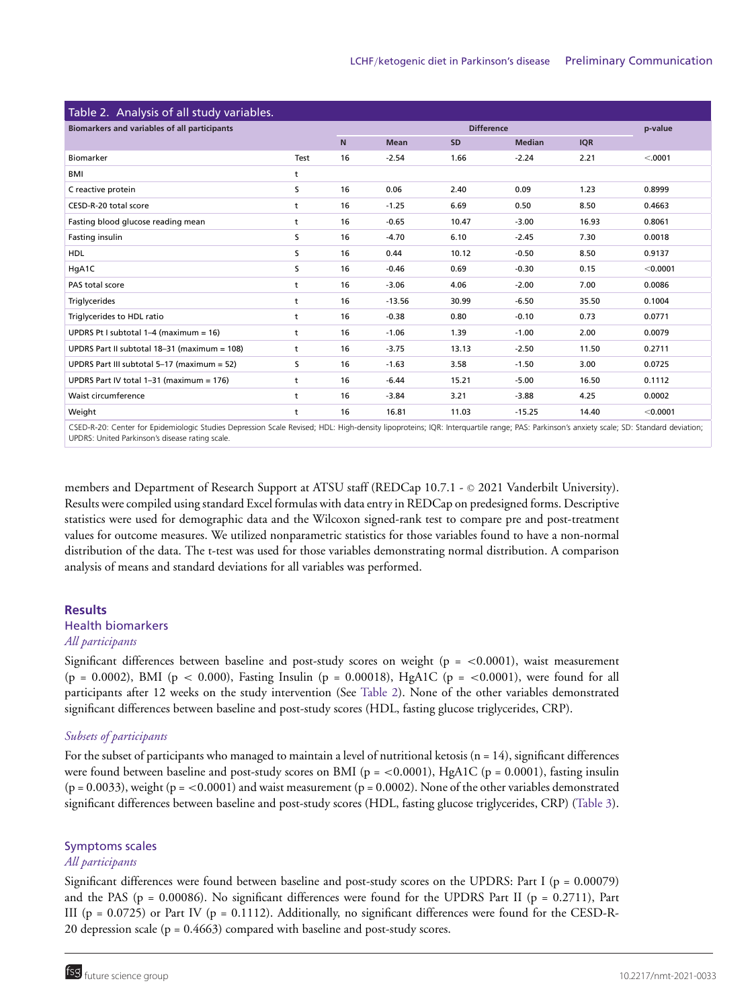| Table 2. Analysis of all study variables.    |      |    |                   |           |               |            |          |  |
|----------------------------------------------|------|----|-------------------|-----------|---------------|------------|----------|--|
| Biomarkers and variables of all participants |      |    | <b>Difference</b> |           |               |            |          |  |
|                                              |      | N  | <b>Mean</b>       | <b>SD</b> | <b>Median</b> | <b>IQR</b> |          |  |
| Biomarker                                    | Test | 16 | $-2.54$           | 1.66      | $-2.24$       | 2.21       | < .0001  |  |
| BMI                                          | t    |    |                   |           |               |            |          |  |
| C reactive protein                           | s    | 16 | 0.06              | 2.40      | 0.09          | 1.23       | 0.8999   |  |
| CESD-R-20 total score                        | t    | 16 | $-1.25$           | 6.69      | 0.50          | 8.50       | 0.4663   |  |
| Fasting blood glucose reading mean           | t    | 16 | $-0.65$           | 10.47     | $-3.00$       | 16.93      | 0.8061   |  |
| Fasting insulin                              | s    | 16 | $-4.70$           | 6.10      | $-2.45$       | 7.30       | 0.0018   |  |
| <b>HDL</b>                                   | s    | 16 | 0.44              | 10.12     | $-0.50$       | 8.50       | 0.9137   |  |
| HgA1C                                        | S    | 16 | $-0.46$           | 0.69      | $-0.30$       | 0.15       | < 0.0001 |  |
| PAS total score                              | t    | 16 | $-3.06$           | 4.06      | $-2.00$       | 7.00       | 0.0086   |  |
| Triglycerides                                | t    | 16 | $-13.56$          | 30.99     | $-6.50$       | 35.50      | 0.1004   |  |
| Triglycerides to HDL ratio                   | t    | 16 | $-0.38$           | 0.80      | $-0.10$       | 0.73       | 0.0771   |  |
| UPDRS Pt I subtotal $1-4$ (maximum = 16)     | t    | 16 | $-1.06$           | 1.39      | $-1.00$       | 2.00       | 0.0079   |  |
| UPDRS Part II subtotal 18-31 (maximum = 108) | t    | 16 | $-3.75$           | 13.13     | $-2.50$       | 11.50      | 0.2711   |  |
| UPDRS Part III subtotal 5-17 (maximum = 52)  | s    | 16 | $-1.63$           | 3.58      | $-1.50$       | 3.00       | 0.0725   |  |
| UPDRS Part IV total 1-31 (maximum = 176)     | t    | 16 | $-6.44$           | 15.21     | $-5.00$       | 16.50      | 0.1112   |  |
| Waist circumference                          | t    | 16 | $-3.84$           | 3.21      | $-3.88$       | 4.25       | 0.0002   |  |
| Weight                                       | t    | 16 | 16.81             | 11.03     | $-15.25$      | 14.40      | < 0.0001 |  |

CSED-R-20: Center for Epidemiologic Studies Depression Scale Revised; HDL: High-density lipoproteins; IQR: Interquartile range; PAS: Parkinson's anxiety scale; SD: Standard deviation; UPDRS: United Parkinson's disease rating scale.

members and Department of Research Support at ATSU staff (REDCap 10.7.1 - © 2021 Vanderbilt University). Results were compiled using standard Excel formulas with data entry in REDCap on predesigned forms. Descriptive statistics were used for demographic data and the Wilcoxon signed-rank test to compare pre and post-treatment values for outcome measures. We utilized nonparametric statistics for those variables found to have a non-normal distribution of the data. The t-test was used for those variables demonstrating normal distribution. A comparison analysis of means and standard deviations for all variables was performed.

#### **Results**

# Health biomarkers

#### *All participants*

Significant differences between baseline and post-study scores on weight ( $p = <0.0001$ ), waist measurement  $(p = 0.0002)$ , BMI (p < 0.000), Fasting Insulin (p = 0.00018), HgA1C (p = <0.0001), were found for all participants after 12 weeks on the study intervention (See Table 2). None of the other variables demonstrated significant differences between baseline and post-study scores (HDL, fasting glucose triglycerides, CRP).

# *Subsets of participants*

For the subset of participants who managed to maintain a level of nutritional ketosis  $(n = 14)$ , significant differences were found between baseline and post-study scores on BMI ( $p = < 0.0001$ ), HgA1C ( $p = 0.0001$ ), fasting insulin  $(p = 0.0033)$ , weight  $(p = <0.0001)$  and waist measurement  $(p = 0.0002)$ . None of the other variables demonstrated significant differences between baseline and post-study scores (HDL, fasting glucose triglycerides, CRP) (Table 3).

# Symptoms scales

# *All participants*

Significant differences were found between baseline and post-study scores on the UPDRS: Part I ( $p = 0.00079$ ) and the PAS ( $p = 0.00086$ ). No significant differences were found for the UPDRS Part II ( $p = 0.2711$ ), Part III ( $p = 0.0725$ ) or Part IV ( $p = 0.1112$ ). Additionally, no significant differences were found for the CESD-R-20 depression scale (p = 0.4663) compared with baseline and post-study scores.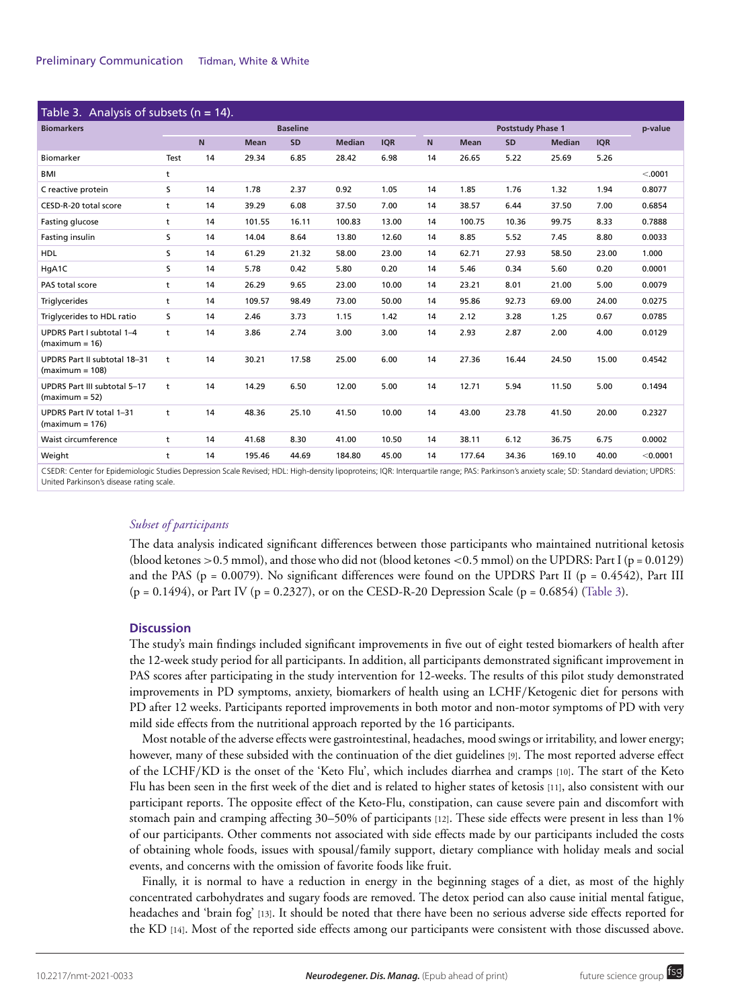| Table 3. Analysis of subsets ( $n = 14$ ). |    |             |       |               |                          |    |             |       |               |            |            |
|--------------------------------------------|----|-------------|-------|---------------|--------------------------|----|-------------|-------|---------------|------------|------------|
| <b>Baseline</b>                            |    |             |       |               | <b>Poststudy Phase 1</b> |    |             |       |               | p-value    |            |
|                                            |    | <b>Mean</b> | SD    | <b>Median</b> | <b>IQR</b>               | N  | <b>Mean</b> | SD    | <b>Median</b> | <b>IQR</b> |            |
| Test                                       | 14 | 29.34       | 6.85  | 28.42         | 6.98                     | 14 | 26.65       | 5.22  | 25.69         | 5.26       |            |
| t                                          |    |             |       |               |                          |    |             |       |               |            | < .0001    |
| s                                          | 14 | 1.78        | 2.37  | 0.92          | 1.05                     | 14 | 1.85        | 1.76  | 1.32          | 1.94       | 0.8077     |
| t                                          | 14 | 39.29       | 6.08  | 37.50         | 7.00                     | 14 | 38.57       | 6.44  | 37.50         | 7.00       | 0.6854     |
| t                                          | 14 | 101.55      | 16.11 | 100.83        | 13.00                    | 14 | 100.75      | 10.36 | 99.75         | 8.33       | 0.7888     |
| s                                          | 14 | 14.04       | 8.64  | 13.80         | 12.60                    | 14 | 8.85        | 5.52  | 7.45          | 8.80       | 0.0033     |
| s                                          | 14 | 61.29       | 21.32 | 58.00         | 23.00                    | 14 | 62.71       | 27.93 | 58.50         | 23.00      | 1.000      |
| s                                          | 14 | 5.78        | 0.42  | 5.80          | 0.20                     | 14 | 5.46        | 0.34  | 5.60          | 0.20       | 0.0001     |
| t                                          | 14 | 26.29       | 9.65  | 23.00         | 10.00                    | 14 | 23.21       | 8.01  | 21.00         | 5.00       | 0.0079     |
| t                                          | 14 | 109.57      | 98.49 | 73.00         | 50.00                    | 14 | 95.86       | 92.73 | 69.00         | 24.00      | 0.0275     |
| s                                          | 14 | 2.46        | 3.73  | 1.15          | 1.42                     | 14 | 2.12        | 3.28  | 1.25          | 0.67       | 0.0785     |
| t                                          | 14 | 3.86        | 2.74  | 3.00          | 3.00                     | 14 | 2.93        | 2.87  | 2.00          | 4.00       | 0.0129     |
| t                                          | 14 | 30.21       | 17.58 | 25.00         | 6.00                     | 14 | 27.36       | 16.44 | 24.50         | 15.00      | 0.4542     |
| t                                          | 14 | 14.29       | 6.50  | 12.00         | 5.00                     | 14 | 12.71       | 5.94  | 11.50         | 5.00       | 0.1494     |
| t                                          | 14 | 48.36       | 25.10 | 41.50         | 10.00                    | 14 | 43.00       | 23.78 | 41.50         | 20.00      | 0.2327     |
| t                                          | 14 | 41.68       | 8.30  | 41.00         | 10.50                    | 14 | 38.11       | 6.12  | 36.75         | 6.75       | 0.0002     |
| t                                          | 14 | 195.46      | 44.69 | 184.80        | 45.00                    | 14 | 177.64      | 34.36 | 169.10        | 40.00      | $<$ 0.0001 |
|                                            |    | $\mathbf N$ |       |               |                          |    |             |       |               |            |            |

CSEDR: Center for Epidemiologic Studies Depression Scale Revised; HDL: High-density lipoproteins; IQR: Interquartile range; PAS: Parkinson's anxiety scale; SD: Standard deviation; UPDRS: United Parkinson's disease rating scale.

#### *Subset of participants*

The data analysis indicated significant differences between those participants who maintained nutritional ketosis (blood ketones  $>0.5$  mmol), and those who did not (blood ketones  $<0.5$  mmol) on the UPDRS: Part I (p = 0.0129) and the PAS ( $p = 0.0079$ ). No significant differences were found on the UPDRS Part II ( $p = 0.4542$ ), Part III (p = 0.1494), or Part IV (p = 0.2327), or on the CESD-R-20 Depression Scale (p = 0.6854) (Table 3).

#### **Discussion**

The study's main findings included significant improvements in five out of eight tested biomarkers of health after the 12-week study period for all participants. In addition, all participants demonstrated significant improvement in PAS scores after participating in the study intervention for 12-weeks. The results of this pilot study demonstrated improvements in PD symptoms, anxiety, biomarkers of health using an LCHF/Ketogenic diet for persons with PD after 12 weeks. Participants reported improvements in both motor and non-motor symptoms of PD with very mild side effects from the nutritional approach reported by the 16 participants.

Most notable of the adverse effects were gastrointestinal, headaches, mood swings or irritability, and lower energy; however, many of these subsided with the continuation of the diet guidelines [9]. The most reported adverse effect of the LCHF/KD is the onset of the 'Keto Flu', which includes diarrhea and cramps [10]. The start of the Keto Flu has been seen in the first week of the diet and is related to higher states of ketosis [11], also consistent with our participant reports. The opposite effect of the Keto-Flu, constipation, can cause severe pain and discomfort with stomach pain and cramping affecting 30–50% of participants [12]. These side effects were present in less than 1% of our participants. Other comments not associated with side effects made by our participants included the costs of obtaining whole foods, issues with spousal/family support, dietary compliance with holiday meals and social events, and concerns with the omission of favorite foods like fruit.

Finally, it is normal to have a reduction in energy in the beginning stages of a diet, as most of the highly concentrated carbohydrates and sugary foods are removed. The detox period can also cause initial mental fatigue, headaches and 'brain fog' [13]. It should be noted that there have been no serious adverse side effects reported for the KD [14]. Most of the reported side effects among our participants were consistent with those discussed above.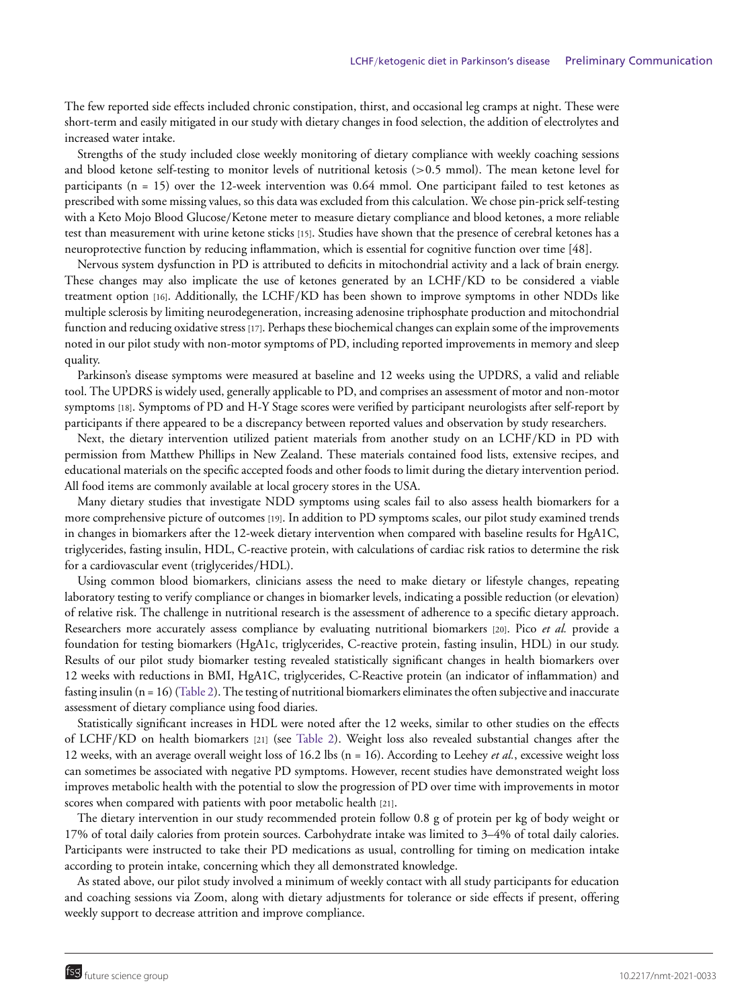The few reported side effects included chronic constipation, thirst, and occasional leg cramps at night. These were short-term and easily mitigated in our study with dietary changes in food selection, the addition of electrolytes and increased water intake.

Strengths of the study included close weekly monitoring of dietary compliance with weekly coaching sessions and blood ketone self-testing to monitor levels of nutritional ketosis (>0.5 mmol). The mean ketone level for participants (n = 15) over the 12-week intervention was 0.64 mmol. One participant failed to test ketones as prescribed with some missing values, so this data was excluded from this calculation. We chose pin-prick self-testing with a Keto Mojo Blood Glucose/Ketone meter to measure dietary compliance and blood ketones, a more reliable test than measurement with urine ketone sticks [15]. Studies have shown that the presence of cerebral ketones has a neuroprotective function by reducing inflammation, which is essential for cognitive function over time [48].

Nervous system dysfunction in PD is attributed to deficits in mitochondrial activity and a lack of brain energy. These changes may also implicate the use of ketones generated by an LCHF/KD to be considered a viable treatment option [16]. Additionally, the LCHF/KD has been shown to improve symptoms in other NDDs like multiple sclerosis by limiting neurodegeneration, increasing adenosine triphosphate production and mitochondrial function and reducing oxidative stress [17]. Perhaps these biochemical changes can explain some of the improvements noted in our pilot study with non-motor symptoms of PD, including reported improvements in memory and sleep quality.

Parkinson's disease symptoms were measured at baseline and 12 weeks using the UPDRS, a valid and reliable tool. The UPDRS is widely used, generally applicable to PD, and comprises an assessment of motor and non-motor symptoms [18]. Symptoms of PD and H-Y Stage scores were verified by participant neurologists after self-report by participants if there appeared to be a discrepancy between reported values and observation by study researchers.

Next, the dietary intervention utilized patient materials from another study on an LCHF/KD in PD with permission from Matthew Phillips in New Zealand. These materials contained food lists, extensive recipes, and educational materials on the specific accepted foods and other foods to limit during the dietary intervention period. All food items are commonly available at local grocery stores in the USA.

Many dietary studies that investigate NDD symptoms using scales fail to also assess health biomarkers for a more comprehensive picture of outcomes [19]. In addition to PD symptoms scales, our pilot study examined trends in changes in biomarkers after the 12-week dietary intervention when compared with baseline results for HgA1C, triglycerides, fasting insulin, HDL, C-reactive protein, with calculations of cardiac risk ratios to determine the risk for a cardiovascular event (triglycerides/HDL).

Using common blood biomarkers, clinicians assess the need to make dietary or lifestyle changes, repeating laboratory testing to verify compliance or changes in biomarker levels, indicating a possible reduction (or elevation) of relative risk. The challenge in nutritional research is the assessment of adherence to a specific dietary approach. Researchers more accurately assess compliance by evaluating nutritional biomarkers [20]. Pico *et al.* provide a foundation for testing biomarkers (HgA1c, triglycerides, C-reactive protein, fasting insulin, HDL) in our study. Results of our pilot study biomarker testing revealed statistically significant changes in health biomarkers over 12 weeks with reductions in BMI, HgA1C, triglycerides, C-Reactive protein (an indicator of inflammation) and fasting insulin (n = 16) (Table 2). The testing of nutritional biomarkers eliminates the often subjective and inaccurate assessment of dietary compliance using food diaries.

Statistically significant increases in HDL were noted after the 12 weeks, similar to other studies on the effects of LCHF/KD on health biomarkers [21] (see Table 2). Weight loss also revealed substantial changes after the 12 weeks, with an average overall weight loss of 16.2 lbs (n = 16). According to Leehey *et al.*, excessive weight loss can sometimes be associated with negative PD symptoms. However, recent studies have demonstrated weight loss improves metabolic health with the potential to slow the progression of PD over time with improvements in motor scores when compared with patients with poor metabolic health [21].

The dietary intervention in our study recommended protein follow 0.8 g of protein per kg of body weight or 17% of total daily calories from protein sources. Carbohydrate intake was limited to 3–4% of total daily calories. Participants were instructed to take their PD medications as usual, controlling for timing on medication intake according to protein intake, concerning which they all demonstrated knowledge.

As stated above, our pilot study involved a minimum of weekly contact with all study participants for education and coaching sessions via Zoom, along with dietary adjustments for tolerance or side effects if present, offering weekly support to decrease attrition and improve compliance.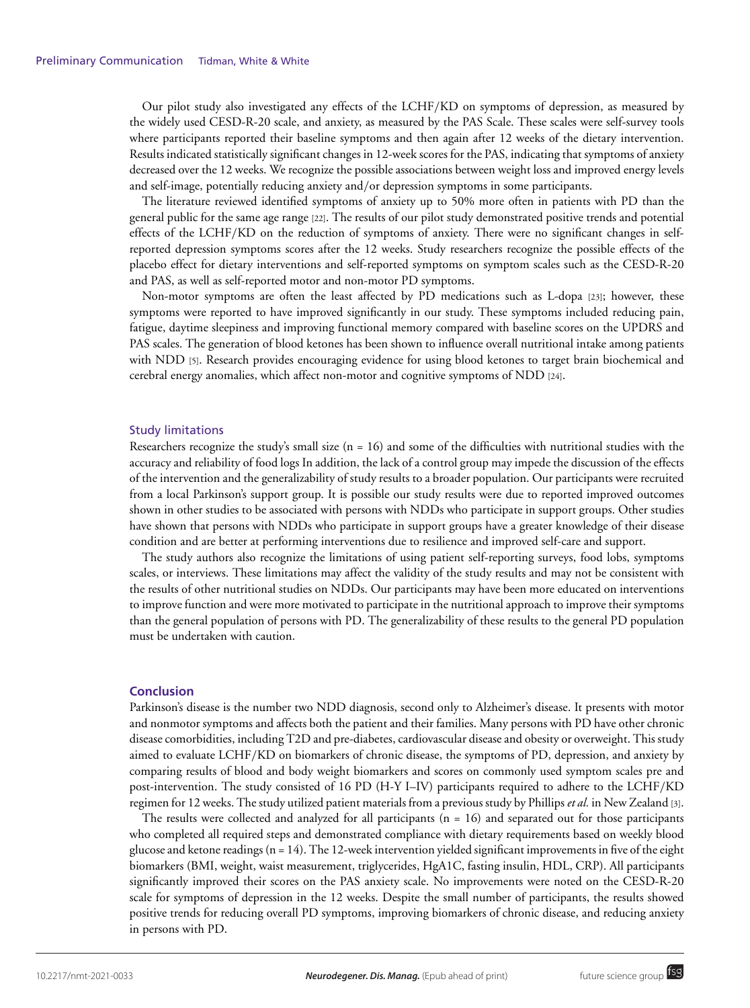Our pilot study also investigated any effects of the LCHF/KD on symptoms of depression, as measured by the widely used CESD-R-20 scale, and anxiety, as measured by the PAS Scale. These scales were self-survey tools where participants reported their baseline symptoms and then again after 12 weeks of the dietary intervention. Results indicated statistically significant changes in 12-week scores for the PAS, indicating that symptoms of anxiety decreased over the 12 weeks. We recognize the possible associations between weight loss and improved energy levels and self-image, potentially reducing anxiety and/or depression symptoms in some participants.

The literature reviewed identified symptoms of anxiety up to 50% more often in patients with PD than the general public for the same age range [22]. The results of our pilot study demonstrated positive trends and potential effects of the LCHF/KD on the reduction of symptoms of anxiety. There were no significant changes in selfreported depression symptoms scores after the 12 weeks. Study researchers recognize the possible effects of the placebo effect for dietary interventions and self-reported symptoms on symptom scales such as the CESD-R-20 and PAS, as well as self-reported motor and non-motor PD symptoms.

Non-motor symptoms are often the least affected by PD medications such as L-dopa [23]; however, these symptoms were reported to have improved significantly in our study. These symptoms included reducing pain, fatigue, daytime sleepiness and improving functional memory compared with baseline scores on the UPDRS and PAS scales. The generation of blood ketones has been shown to influence overall nutritional intake among patients with NDD [5]. Research provides encouraging evidence for using blood ketones to target brain biochemical and cerebral energy anomalies, which affect non-motor and cognitive symptoms of NDD [24].

#### Study limitations

Researchers recognize the study's small size ( $n = 16$ ) and some of the difficulties with nutritional studies with the accuracy and reliability of food logs In addition, the lack of a control group may impede the discussion of the effects of the intervention and the generalizability of study results to a broader population. Our participants were recruited from a local Parkinson's support group. It is possible our study results were due to reported improved outcomes shown in other studies to be associated with persons with NDDs who participate in support groups. Other studies have shown that persons with NDDs who participate in support groups have a greater knowledge of their disease condition and are better at performing interventions due to resilience and improved self-care and support.

The study authors also recognize the limitations of using patient self-reporting surveys, food lobs, symptoms scales, or interviews. These limitations may affect the validity of the study results and may not be consistent with the results of other nutritional studies on NDDs. Our participants may have been more educated on interventions to improve function and were more motivated to participate in the nutritional approach to improve their symptoms than the general population of persons with PD. The generalizability of these results to the general PD population must be undertaken with caution.

#### **Conclusion**

Parkinson's disease is the number two NDD diagnosis, second only to Alzheimer's disease. It presents with motor and nonmotor symptoms and affects both the patient and their families. Many persons with PD have other chronic disease comorbidities, including T2D and pre-diabetes, cardiovascular disease and obesity or overweight. This study aimed to evaluate LCHF/KD on biomarkers of chronic disease, the symptoms of PD, depression, and anxiety by comparing results of blood and body weight biomarkers and scores on commonly used symptom scales pre and post-intervention. The study consisted of 16 PD (H-Y I–IV) participants required to adhere to the LCHF/KD regimen for 12 weeks. The study utilized patient materials from a previous study by Phillips *et al.* in New Zealand [3].

The results were collected and analyzed for all participants (n = 16) and separated out for those participants who completed all required steps and demonstrated compliance with dietary requirements based on weekly blood glucose and ketone readings (n = 14). The 12-week intervention yielded significant improvements in five of the eight biomarkers (BMI, weight, waist measurement, triglycerides, HgA1C, fasting insulin, HDL, CRP). All participants significantly improved their scores on the PAS anxiety scale. No improvements were noted on the CESD-R-20 scale for symptoms of depression in the 12 weeks. Despite the small number of participants, the results showed positive trends for reducing overall PD symptoms, improving biomarkers of chronic disease, and reducing anxiety in persons with PD.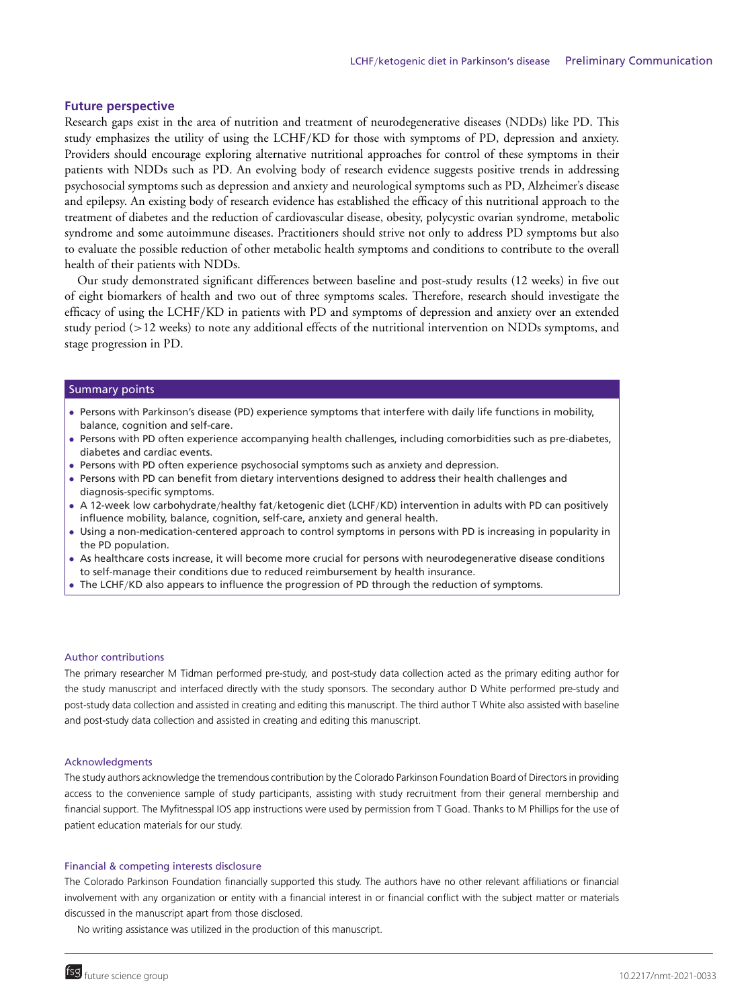#### **Future perspective**

Research gaps exist in the area of nutrition and treatment of neurodegenerative diseases (NDDs) like PD. This study emphasizes the utility of using the LCHF/KD for those with symptoms of PD, depression and anxiety. Providers should encourage exploring alternative nutritional approaches for control of these symptoms in their patients with NDDs such as PD. An evolving body of research evidence suggests positive trends in addressing psychosocial symptoms such as depression and anxiety and neurological symptoms such as PD, Alzheimer's disease and epilepsy. An existing body of research evidence has established the efficacy of this nutritional approach to the treatment of diabetes and the reduction of cardiovascular disease, obesity, polycystic ovarian syndrome, metabolic syndrome and some autoimmune diseases. Practitioners should strive not only to address PD symptoms but also to evaluate the possible reduction of other metabolic health symptoms and conditions to contribute to the overall health of their patients with NDDs.

Our study demonstrated significant differences between baseline and post-study results (12 weeks) in five out of eight biomarkers of health and two out of three symptoms scales. Therefore, research should investigate the efficacy of using the LCHF/KD in patients with PD and symptoms of depression and anxiety over an extended study period (>12 weeks) to note any additional effects of the nutritional intervention on NDDs symptoms, and stage progression in PD.

#### Summary points

- Persons with Parkinson's disease (PD) experience symptoms that interfere with daily life functions in mobility, balance, cognition and self-care.
- Persons with PD often experience accompanying health challenges, including comorbidities such as pre-diabetes, diabetes and cardiac events.
- Persons with PD often experience psychosocial symptoms such as anxiety and depression.
- Persons with PD can benefit from dietary interventions designed to address their health challenges and diagnosis-specific symptoms.
- A 12-week low carbohydrate/healthy fat/ketogenic diet (LCHF/KD) intervention in adults with PD can positively influence mobility, balance, cognition, self-care, anxiety and general health.
- Using a non-medication-centered approach to control symptoms in persons with PD is increasing in popularity in the PD population.
- As healthcare costs increase, it will become more crucial for persons with neurodegenerative disease conditions to self-manage their conditions due to reduced reimbursement by health insurance.
- The LCHF/KD also appears to influence the progression of PD through the reduction of symptoms.

#### Author contributions

The primary researcher M Tidman performed pre-study, and post-study data collection acted as the primary editing author for the study manuscript and interfaced directly with the study sponsors. The secondary author D White performed pre-study and post-study data collection and assisted in creating and editing this manuscript. The third author T White also assisted with baseline and post-study data collection and assisted in creating and editing this manuscript.

#### Acknowledgments

The study authors acknowledge the tremendous contribution by the Colorado Parkinson Foundation Board of Directors in providing access to the convenience sample of study participants, assisting with study recruitment from their general membership and financial support. The Myfitnesspal IOS app instructions were used by permission from T Goad. Thanks to M Phillips for the use of patient education materials for our study.

#### Financial & competing interests disclosure

The Colorado Parkinson Foundation financially supported this study. The authors have no other relevant affiliations or financial involvement with any organization or entity with a financial interest in or financial conflict with the subject matter or materials discussed in the manuscript apart from those disclosed.

No writing assistance was utilized in the production of this manuscript.